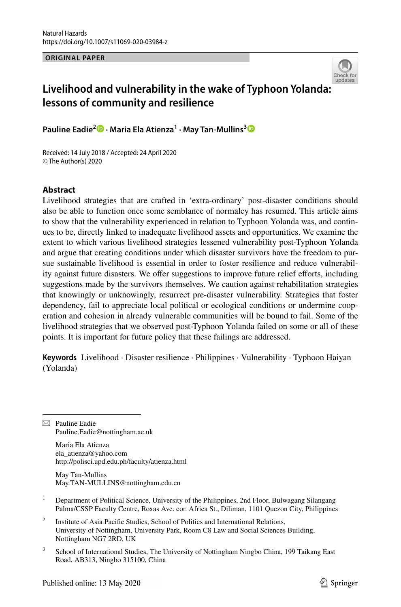**ORIGINAL PAPER**



# **Livelihood and vulnerability in the wake of Typhoon Yolanda[:](http://crossmark.crossref.org/dialog/?doi=10.1007/s11069-020-03984-z&domain=pdf)  lessons of community and resilience**

**Pauline Eadie2 · Maria Ela Atienza1 · May Tan‑Mullins[3](http://orcid.org/0000-0003-0236-5145)**

Received: 14 July 2018 / Accepted: 24 April 2020 © The Author(s) 2020

### **Abstract**

Livelihood strategies that are crafted in 'extra-ordinary' post-disaster conditions should also be able to function once some semblance of normalcy has resumed. This article aims to show that the vulnerability experienced in relation to Typhoon Yolanda was, and continues to be, directly linked to inadequate livelihood assets and opportunities. We examine the extent to which various livelihood strategies lessened vulnerability post-Typhoon Yolanda and argue that creating conditions under which disaster survivors have the freedom to pursue sustainable livelihood is essential in order to foster resilience and reduce vulnerability against future disasters. We ofer suggestions to improve future relief eforts, including suggestions made by the survivors themselves. We caution against rehabilitation strategies that knowingly or unknowingly, resurrect pre-disaster vulnerability. Strategies that foster dependency, fail to appreciate local political or ecological conditions or undermine cooperation and cohesion in already vulnerable communities will be bound to fail. Some of the livelihood strategies that we observed post-Typhoon Yolanda failed on some or all of these points. It is important for future policy that these failings are addressed.

**Keywords** Livelihood · Disaster resilience · Philippines · Vulnerability · Typhoon Haiyan (Yolanda)

 $\boxtimes$  Pauline Eadie Pauline.Eadie@nottingham.ac.uk

> Maria Ela Atienza ela\_atienza@yahoo.com http://polisci.upd.edu.ph/faculty/atienza.html

May Tan-Mullins May.TAN-MULLINS@nottingham.edu.cn

- <sup>1</sup> Department of Political Science, University of the Philippines, 2nd Floor, Bulwagang Silangang Palma/CSSP Faculty Centre, Roxas Ave. cor. Africa St., Diliman, 1101 Quezon City, Philippines
- <sup>2</sup> Institute of Asia Pacific Studies, School of Politics and International Relations, University of Nottingham, University Park, Room C8 Law and Social Sciences Building, Nottingham NG7 2RD, UK
- <sup>3</sup> School of International Studies, The University of Nottingham Ningbo China, 199 Taikang East Road, AB313, Ningbo 315100, China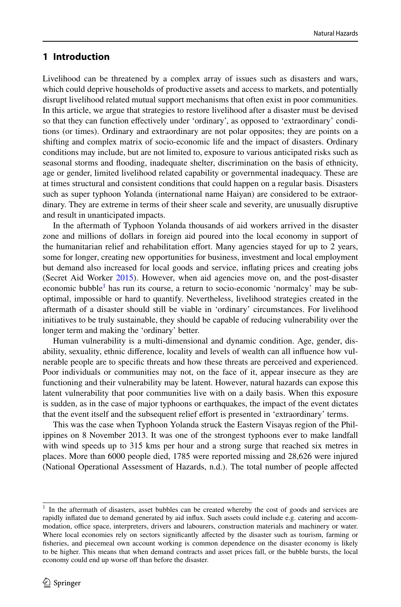## **1 Introduction**

Livelihood can be threatened by a complex array of issues such as disasters and wars, which could deprive households of productive assets and access to markets, and potentially disrupt livelihood related mutual support mechanisms that often exist in poor communities. In this article, we argue that strategies to restore livelihood after a disaster must be devised so that they can function effectively under 'ordinary', as opposed to 'extraordinary' conditions (or times). Ordinary and extraordinary are not polar opposites; they are points on a shifting and complex matrix of socio-economic life and the impact of disasters. Ordinary conditions may include, but are not limited to, exposure to various anticipated risks such as seasonal storms and fooding, inadequate shelter, discrimination on the basis of ethnicity, age or gender, limited livelihood related capability or governmental inadequacy. These are at times structural and consistent conditions that could happen on a regular basis. Disasters such as super typhoon Yolanda (international name Haiyan) are considered to be extraordinary. They are extreme in terms of their sheer scale and severity, are unusually disruptive and result in unanticipated impacts.

In the aftermath of Typhoon Yolanda thousands of aid workers arrived in the disaster zone and millions of dollars in foreign aid poured into the local economy in support of the humanitarian relief and rehabilitation efort. Many agencies stayed for up to 2 years, some for longer, creating new opportunities for business, investment and local employment but demand also increased for local goods and service, infating prices and creating jobs (Secret Aid Worker [2015](#page-18-0)). However, when aid agencies move on, and the post-disaster economic bubble<sup>[1](#page-1-0)</sup> has run its course, a return to socio-economic 'normalcy' may be suboptimal, impossible or hard to quantify. Nevertheless, livelihood strategies created in the aftermath of a disaster should still be viable in 'ordinary' circumstances. For livelihood initiatives to be truly sustainable, they should be capable of reducing vulnerability over the longer term and making the 'ordinary' better.

Human vulnerability is a multi-dimensional and dynamic condition. Age, gender, disability, sexuality, ethnic diference, locality and levels of wealth can all infuence how vulnerable people are to specifc threats and how these threats are perceived and experienced. Poor individuals or communities may not, on the face of it, appear insecure as they are functioning and their vulnerability may be latent. However, natural hazards can expose this latent vulnerability that poor communities live with on a daily basis. When this exposure is sudden, as in the case of major typhoons or earthquakes, the impact of the event dictates that the event itself and the subsequent relief efort is presented in 'extraordinary' terms.

This was the case when Typhoon Yolanda struck the Eastern Visayas region of the Philippines on 8 November 2013. It was one of the strongest typhoons ever to make landfall with wind speeds up to 315 kms per hour and a strong surge that reached six metres in places. More than 6000 people died, 1785 were reported missing and 28,626 were injured (National Operational Assessment of Hazards, n.d.). The total number of people afected

<span id="page-1-0"></span><sup>1</sup> In the aftermath of disasters, asset bubbles can be created whereby the cost of goods and services are rapidly infated due to demand generated by aid infux. Such assets could include e.g. catering and accommodation, office space, interpreters, drivers and labourers, construction materials and machinery or water. Where local economies rely on sectors significantly affected by the disaster such as tourism, farming or fisheries, and piecemeal own account working is common dependence on the disaster economy is likely to be higher. This means that when demand contracts and asset prices fall, or the bubble bursts, the local economy could end up worse off than before the disaster.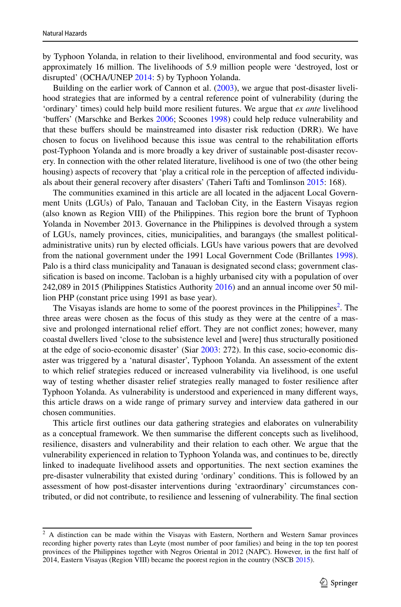by Typhoon Yolanda, in relation to their livelihood, environmental and food security, was approximately 16 million. The livelihoods of 5.9 million people were 'destroyed, lost or disrupted' (OCHA/UNEP [2014:](#page-17-0) 5) by Typhoon Yolanda.

Building on the earlier work of Cannon et al. ([2003\)](#page-16-0), we argue that post-disaster livelihood strategies that are informed by a central reference point of vulnerability (during the 'ordinary' times) could help build more resilient futures. We argue that *ex ante* livelihood 'bufers' (Marschke and Berkes [2006](#page-17-1); Scoones [1998\)](#page-18-1) could help reduce vulnerability and that these bufers should be mainstreamed into disaster risk reduction (DRR). We have chosen to focus on livelihood because this issue was central to the rehabilitation eforts post-Typhoon Yolanda and is more broadly a key driver of sustainable post-disaster recovery. In connection with the other related literature, livelihood is one of two (the other being housing) aspects of recovery that 'play a critical role in the perception of affected individuals about their general recovery after disasters' (Taheri Tafti and Tomlinson [2015](#page-18-2): 168).

The communities examined in this article are all located in the adjacent Local Government Units (LGUs) of Palo, Tanauan and Tacloban City, in the Eastern Visayas region (also known as Region VIII) of the Philippines. This region bore the brunt of Typhoon Yolanda in November 2013. Governance in the Philippines is devolved through a system of LGUs, namely provinces, cities, municipalities, and barangays (the smallest politicaladministrative units) run by elected officials. LGUs have various powers that are devolved from the national government under the 1991 Local Government Code (Brillantes [1998](#page-16-1)). Palo is a third class municipality and Tanauan is designated second class; government classifcation is based on income. Tacloban is a highly urbanised city with a population of over 242,089 in 2015 (Philippines Statistics Authority [2016\)](#page-17-2) and an annual income over 50 million PHP (constant price using 1991 as base year).

The Visayas islands are home to some of the poorest provinces in the Philippines<sup>[2](#page-2-0)</sup>. The three areas were chosen as the focus of this study as they were at the centre of a massive and prolonged international relief effort. They are not conflict zones; however, many coastal dwellers lived 'close to the subsistence level and [were] thus structurally positioned at the edge of socio-economic disaster' (Siar [2003](#page-18-3): 272). In this case, socio-economic disaster was triggered by a 'natural disaster', Typhoon Yolanda. An assessment of the extent to which relief strategies reduced or increased vulnerability via livelihood, is one useful way of testing whether disaster relief strategies really managed to foster resilience after Typhoon Yolanda. As vulnerability is understood and experienced in many diferent ways, this article draws on a wide range of primary survey and interview data gathered in our chosen communities.

This article frst outlines our data gathering strategies and elaborates on vulnerability as a conceptual framework. We then summarise the diferent concepts such as livelihood, resilience, disasters and vulnerability and their relation to each other. We argue that the vulnerability experienced in relation to Typhoon Yolanda was, and continues to be, directly linked to inadequate livelihood assets and opportunities. The next section examines the pre-disaster vulnerability that existed during 'ordinary' conditions. This is followed by an assessment of how post-disaster interventions during 'extraordinary' circumstances contributed, or did not contribute, to resilience and lessening of vulnerability. The fnal section

<span id="page-2-0"></span> $2$  A distinction can be made within the Visayas with Eastern, Northern and Western Samar provinces recording higher poverty rates than Leyte (most number of poor families) and being in the top ten poorest provinces of the Philippines together with Negros Oriental in 2012 (NAPC). However, in the frst half of 2014, Eastern Visayas (Region VIII) became the poorest region in the country (NSCB [2015](#page-17-3)).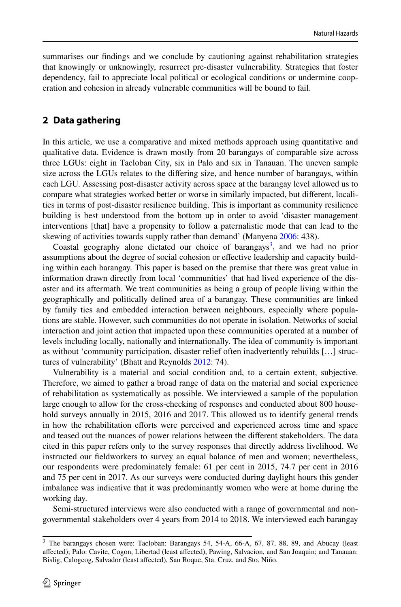summarises our fndings and we conclude by cautioning against rehabilitation strategies that knowingly or unknowingly, resurrect pre-disaster vulnerability. Strategies that foster dependency, fail to appreciate local political or ecological conditions or undermine cooperation and cohesion in already vulnerable communities will be bound to fail.

### **2 Data gathering**

In this article, we use a comparative and mixed methods approach using quantitative and qualitative data. Evidence is drawn mostly from 20 barangays of comparable size across three LGUs: eight in Tacloban City, six in Palo and six in Tanauan. The uneven sample size across the LGUs relates to the difering size, and hence number of barangays, within each LGU. Assessing post-disaster activity across space at the barangay level allowed us to compare what strategies worked better or worse in similarly impacted, but diferent, localities in terms of post-disaster resilience building. This is important as community resilience building is best understood from the bottom up in order to avoid 'disaster management interventions [that] have a propensity to follow a paternalistic mode that can lead to the skewing of activities towards supply rather than demand' (Manyena [2006](#page-17-4): 438).

Coastal geography alone dictated our choice of barangays<sup>3</sup>, and we had no prior assumptions about the degree of social cohesion or efective leadership and capacity building within each barangay. This paper is based on the premise that there was great value in information drawn directly from local 'communities' that had lived experience of the disaster and its aftermath. We treat communities as being a group of people living within the geographically and politically defned area of a barangay. These communities are linked by family ties and embedded interaction between neighbours, especially where populations are stable. However, such communities do not operate in isolation. Networks of social interaction and joint action that impacted upon these communities operated at a number of levels including locally, nationally and internationally. The idea of community is important as without 'community participation, disaster relief often inadvertently rebuilds […] structures of vulnerability' (Bhatt and Reynolds [2012](#page-16-2): 74).

Vulnerability is a material and social condition and, to a certain extent, subjective. Therefore, we aimed to gather a broad range of data on the material and social experience of rehabilitation as systematically as possible. We interviewed a sample of the population large enough to allow for the cross-checking of responses and conducted about 800 household surveys annually in 2015, 2016 and 2017. This allowed us to identify general trends in how the rehabilitation eforts were perceived and experienced across time and space and teased out the nuances of power relations between the diferent stakeholders. The data cited in this paper refers only to the survey responses that directly address livelihood. We instructed our feldworkers to survey an equal balance of men and women; nevertheless, our respondents were predominately female: 61 per cent in 2015, 74.7 per cent in 2016 and 75 per cent in 2017. As our surveys were conducted during daylight hours this gender imbalance was indicative that it was predominantly women who were at home during the working day.

Semi-structured interviews were also conducted with a range of governmental and nongovernmental stakeholders over 4 years from 2014 to 2018. We interviewed each barangay

<span id="page-3-0"></span><sup>&</sup>lt;sup>3</sup> The barangays chosen were: Tacloban: Barangays 54, 54-A, 66-A, 67, 87, 88, 89, and Abucay (least afected); Palo: Cavite, Cogon, Libertad (least afected), Pawing, Salvacion, and San Joaquin; and Tanauan: Bislig, Calogcog, Salvador (least afected), San Roque, Sta. Cruz, and Sto. Niño.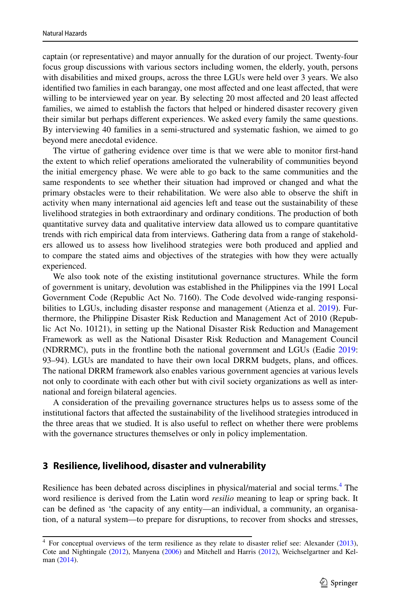captain (or representative) and mayor annually for the duration of our project. Twenty-four focus group discussions with various sectors including women, the elderly, youth, persons with disabilities and mixed groups, across the three LGUs were held over 3 years. We also identifed two families in each barangay, one most afected and one least afected, that were willing to be interviewed year on year. By selecting 20 most affected and 20 least affected families, we aimed to establish the factors that helped or hindered disaster recovery given their similar but perhaps diferent experiences. We asked every family the same questions. By interviewing 40 families in a semi-structured and systematic fashion, we aimed to go beyond mere anecdotal evidence.

The virtue of gathering evidence over time is that we were able to monitor frst-hand the extent to which relief operations ameliorated the vulnerability of communities beyond the initial emergency phase. We were able to go back to the same communities and the same respondents to see whether their situation had improved or changed and what the primary obstacles were to their rehabilitation. We were also able to observe the shift in activity when many international aid agencies left and tease out the sustainability of these livelihood strategies in both extraordinary and ordinary conditions. The production of both quantitative survey data and qualitative interview data allowed us to compare quantitative trends with rich empirical data from interviews. Gathering data from a range of stakeholders allowed us to assess how livelihood strategies were both produced and applied and to compare the stated aims and objectives of the strategies with how they were actually experienced.

We also took note of the existing institutional governance structures. While the form of government is unitary, devolution was established in the Philippines via the 1991 Local Government Code (Republic Act No. 7160). The Code devolved wide-ranging responsi-bilities to LGUs, including disaster response and management (Atienza et al. [2019\)](#page-16-3). Furthermore, the Philippine Disaster Risk Reduction and Management Act of 2010 (Republic Act No. 10121), in setting up the National Disaster Risk Reduction and Management Framework as well as the National Disaster Risk Reduction and Management Council (NDRRMC), puts in the frontline both the national government and LGUs (Eadie [2019:](#page-17-5) 93–94). LGUs are mandated to have their own local DRRM budgets, plans, and offices. The national DRRM framework also enables various government agencies at various levels not only to coordinate with each other but with civil society organizations as well as international and foreign bilateral agencies.

A consideration of the prevailing governance structures helps us to assess some of the institutional factors that afected the sustainability of the livelihood strategies introduced in the three areas that we studied. It is also useful to refect on whether there were problems with the governance structures themselves or only in policy implementation.

#### **3 Resilience, livelihood, disaster and vulnerability**

Resilience has been debated across disciplines in physical/material and social terms.<sup>[4](#page-4-0)</sup> The word resilience is derived from the Latin word *resilio* meaning to leap or spring back. It can be defned as 'the capacity of any entity—an individual, a community, an organisation, of a natural system—to prepare for disruptions, to recover from shocks and stresses,

<span id="page-4-0"></span> $4$  For conceptual overviews of the term resilience as they relate to disaster relief see: Alexander ([2013\)](#page-16-4), Cote and Nightingale [\(2012](#page-16-5)), Manyena [\(2006](#page-17-4)) and Mitchell and Harris [\(2012](#page-17-6)), Weichselgartner and Kelman [\(2014](#page-18-4)).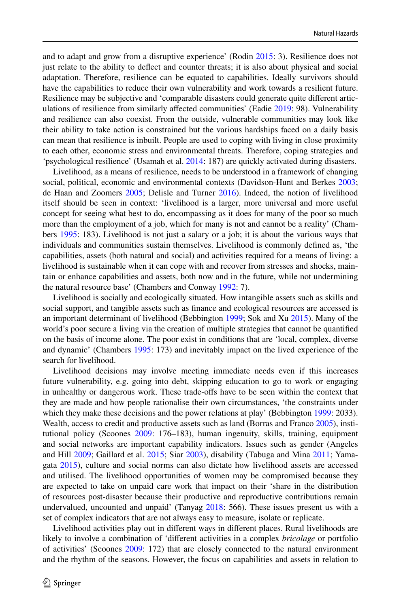and to adapt and grow from a disruptive experience' (Rodin [2015](#page-18-5): 3). Resilience does not just relate to the ability to defect and counter threats; it is also about physical and social adaptation. Therefore, resilience can be equated to capabilities. Ideally survivors should have the capabilities to reduce their own vulnerability and work towards a resilient future. Resilience may be subjective and 'comparable disasters could generate quite diferent articulations of resilience from similarly afected communities' (Eadie [2019:](#page-17-5) 98). Vulnerability and resilience can also coexist. From the outside, vulnerable communities may look like their ability to take action is constrained but the various hardships faced on a daily basis can mean that resilience is inbuilt. People are used to coping with living in close proximity to each other, economic stress and environmental threats. Therefore, coping strategies and 'psychological resilience' (Usamah et al. [2014:](#page-18-6) 187) are quickly activated during disasters.

Livelihood, as a means of resilience, needs to be understood in a framework of changing social, political, economic and environmental contexts (Davidson-Hunt and Berkes [2003;](#page-17-7) de Haan and Zoomers [2005;](#page-17-8) Delisle and Turner [2016\)](#page-17-9). Indeed, the notion of livelihood itself should be seen in context: 'livelihood is a larger, more universal and more useful concept for seeing what best to do, encompassing as it does for many of the poor so much more than the employment of a job, which for many is not and cannot be a reality' (Chambers [1995:](#page-16-6) 183). Livelihood is not just a salary or a job; it is about the various ways that individuals and communities sustain themselves. Livelihood is commonly defned as, 'the capabilities, assets (both natural and social) and activities required for a means of living: a livelihood is sustainable when it can cope with and recover from stresses and shocks, maintain or enhance capabilities and assets, both now and in the future, while not undermining the natural resource base' (Chambers and Conway [1992:](#page-16-7) 7).

Livelihood is socially and ecologically situated. How intangible assets such as skills and social support, and tangible assets such as fnance and ecological resources are accessed is an important determinant of livelihood (Bebbington [1999](#page-16-8); Sok and Xu [2015\)](#page-18-7). Many of the world's poor secure a living via the creation of multiple strategies that cannot be quantifed on the basis of income alone. The poor exist in conditions that are 'local, complex, diverse and dynamic' (Chambers [1995:](#page-16-6) 173) and inevitably impact on the lived experience of the search for livelihood.

Livelihood decisions may involve meeting immediate needs even if this increases future vulnerability, e.g. going into debt, skipping education to go to work or engaging in unhealthy or dangerous work. These trade-ofs have to be seen within the context that they are made and how people rationalise their own circumstances, 'the constraints under which they make these decisions and the power relations at play' (Bebbington [1999](#page-16-8): 2033). Wealth, access to credit and productive assets such as land (Borras and Franco [2005](#page-16-9)), institutional policy (Scoones [2009:](#page-18-8) 176–183), human ingenuity, skills, training, equipment and social networks are important capability indicators. Issues such as gender (Angeles and Hill [2009;](#page-16-10) Gaillard et al. [2015](#page-17-10); Siar [2003\)](#page-18-3), disability (Tabuga and Mina [2011](#page-18-9); Yamagata [2015\)](#page-18-10), culture and social norms can also dictate how livelihood assets are accessed and utilised. The livelihood opportunities of women may be compromised because they are expected to take on unpaid care work that impact on their 'share in the distribution of resources post-disaster because their productive and reproductive contributions remain undervalued, uncounted and unpaid' (Tanyag [2018:](#page-18-11) 566). These issues present us with a set of complex indicators that are not always easy to measure, isolate or replicate.

Livelihood activities play out in diferent ways in diferent places. Rural livelihoods are likely to involve a combination of 'diferent activities in a complex *bricolage* or portfolio of activities' (Scoones [2009](#page-18-8): 172) that are closely connected to the natural environment and the rhythm of the seasons. However, the focus on capabilities and assets in relation to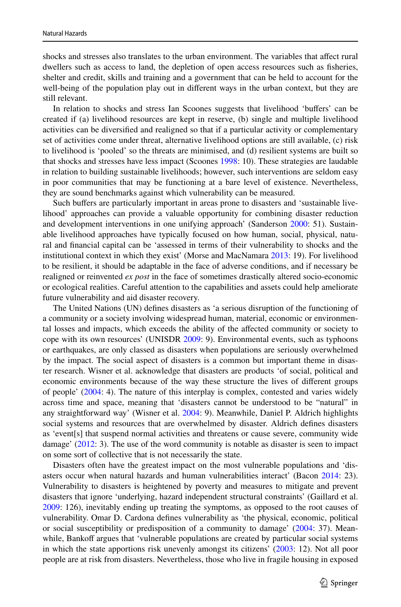shocks and stresses also translates to the urban environment. The variables that afect rural dwellers such as access to land, the depletion of open access resources such as fsheries, shelter and credit, skills and training and a government that can be held to account for the well-being of the population play out in diferent ways in the urban context, but they are still relevant.

In relation to shocks and stress Ian Scoones suggests that livelihood 'bufers' can be created if (a) livelihood resources are kept in reserve, (b) single and multiple livelihood activities can be diversifed and realigned so that if a particular activity or complementary set of activities come under threat, alternative livelihood options are still available, (c) risk to livelihood is 'pooled' so the threats are minimised, and (d) resilient systems are built so that shocks and stresses have less impact (Scoones [1998](#page-18-1): 10). These strategies are laudable in relation to building sustainable livelihoods; however, such interventions are seldom easy in poor communities that may be functioning at a bare level of existence. Nevertheless, they are sound benchmarks against which vulnerability can be measured.

Such buffers are particularly important in areas prone to disasters and 'sustainable livelihood' approaches can provide a valuable opportunity for combining disaster reduction and development interventions in one unifying approach' (Sanderson [2000](#page-18-12): 51). Sustainable livelihood approaches have typically focused on how human, social, physical, natural and fnancial capital can be 'assessed in terms of their vulnerability to shocks and the institutional context in which they exist' (Morse and MacNamara [2013](#page-17-11): 19). For livelihood to be resilient, it should be adaptable in the face of adverse conditions, and if necessary be realigned or reinvented *ex post* in the face of sometimes drastically altered socio-economic or ecological realities. Careful attention to the capabilities and assets could help ameliorate future vulnerability and aid disaster recovery.

The United Nations (UN) defnes disasters as 'a serious disruption of the functioning of a community or a society involving widespread human, material, economic or environmental losses and impacts, which exceeds the ability of the afected community or society to cope with its own resources' (UNISDR [2009](#page-18-13): 9). Environmental events, such as typhoons or earthquakes, are only classed as disasters when populations are seriously overwhelmed by the impact. The social aspect of disasters is a common but important theme in disaster research. Wisner et al. acknowledge that disasters are products 'of social, political and economic environments because of the way these structure the lives of diferent groups of people' [\(2004](#page-18-14): 4). The nature of this interplay is complex, contested and varies widely across time and space, meaning that 'disasters cannot be understood to be "natural" in any straightforward way' (Wisner et al. [2004:](#page-18-14) 9). Meanwhile, Daniel P. Aldrich highlights social systems and resources that are overwhelmed by disaster. Aldrich defnes disasters as 'event[s] that suspend normal activities and threatens or cause severe, community wide damage' ([2012:](#page-16-11) 3). The use of the word community is notable as disaster is seen to impact on some sort of collective that is not necessarily the state.

Disasters often have the greatest impact on the most vulnerable populations and 'disasters occur when natural hazards and human vulnerabilities interact' (Bacon [2014](#page-16-12): 23). Vulnerability to disasters is heightened by poverty and measures to mitigate and prevent disasters that ignore 'underlying, hazard independent structural constraints' (Gaillard et al. [2009:](#page-17-12) 126), inevitably ending up treating the symptoms, as opposed to the root causes of vulnerability. Omar D. Cardona defnes vulnerability as 'the physical, economic, political or social susceptibility or predisposition of a community to damage' ([2004:](#page-16-13) 37). Meanwhile, Bankoff argues that 'vulnerable populations are created by particular social systems in which the state apportions risk unevenly amongst its citizens' ([2003:](#page-16-14) 12). Not all poor people are at risk from disasters. Nevertheless, those who live in fragile housing in exposed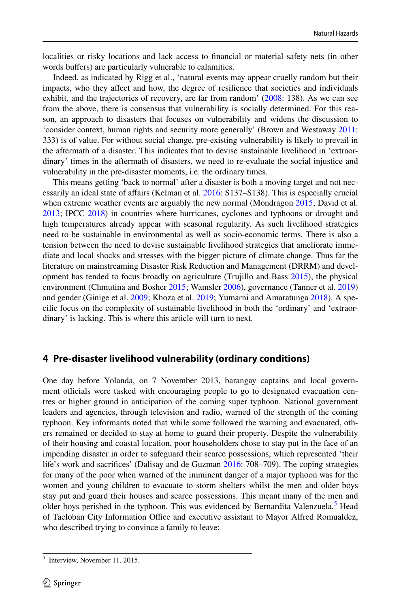localities or risky locations and lack access to fnancial or material safety nets (in other words buffers) are particularly vulnerable to calamities.

Indeed, as indicated by Rigg et al., 'natural events may appear cruelly random but their impacts, who they afect and how, the degree of resilience that societies and individuals exhibit, and the trajectories of recovery, are far from random' [\(2008](#page-18-15): 138). As we can see from the above, there is consensus that vulnerability is socially determined. For this reason, an approach to disasters that focuses on vulnerability and widens the discussion to 'consider context, human rights and security more generally' (Brown and Westaway [2011:](#page-16-15) 333) is of value. For without social change, pre-existing vulnerability is likely to prevail in the aftermath of a disaster. This indicates that to devise sustainable livelihood in 'extraordinary' times in the aftermath of disasters, we need to re-evaluate the social injustice and vulnerability in the pre-disaster moments, i.e. the ordinary times.

This means getting 'back to normal' after a disaster is both a moving target and not necessarily an ideal state of afairs (Kelman et al. [2016:](#page-17-13) S137–S138). This is especially crucial when extreme weather events are arguably the new normal (Mondragon [2015](#page-17-14); David et al. [2013;](#page-16-16) IPCC [2018](#page-17-15)) in countries where hurricanes, cyclones and typhoons or drought and high temperatures already appear with seasonal regularity. As such livelihood strategies need to be sustainable in environmental as well as socio-economic terms. There is also a tension between the need to devise sustainable livelihood strategies that ameliorate immediate and local shocks and stresses with the bigger picture of climate change. Thus far the literature on mainstreaming Disaster Risk Reduction and Management (DRRM) and development has tended to focus broadly on agriculture (Trujillo and Bass [2015\)](#page-18-16), the physical environment (Chmutina and Bosher [2015](#page-16-17); Wamsler [2006](#page-18-17)), governance (Tanner et al. [2019](#page-18-18)) and gender (Ginige et al. [2009](#page-17-16); Khoza et al. [2019](#page-17-17); Yumarni and Amaratunga [2018\)](#page-19-0). A specifc focus on the complexity of sustainable livelihood in both the 'ordinary' and 'extraordinary' is lacking. This is where this article will turn to next.

# **4 Pre‑disaster livelihood vulnerability (ordinary conditions)**

One day before Yolanda, on 7 November 2013, barangay captains and local government officials were tasked with encouraging people to go to designated evacuation centres or higher ground in anticipation of the coming super typhoon. National government leaders and agencies, through television and radio, warned of the strength of the coming typhoon. Key informants noted that while some followed the warning and evacuated, others remained or decided to stay at home to guard their property. Despite the vulnerability of their housing and coastal location, poor householders chose to stay put in the face of an impending disaster in order to safeguard their scarce possessions, which represented 'their life's work and sacrifices' (Dalisay and de Guzman [2016](#page-16-18): 708–709). The coping strategies for many of the poor when warned of the imminent danger of a major typhoon was for the women and young children to evacuate to storm shelters whilst the men and older boys stay put and guard their houses and scarce possessions. This meant many of the men and older boys perished in the typhoon. This was evidenced by Bernardita Valenzuela,<sup>[5](#page-7-0)</sup> Head of Tacloban City Information Office and executive assistant to Mayor Alfred Romualdez, who described trying to convince a family to leave:

<span id="page-7-0"></span><sup>5</sup> Interview, November 11, 2015.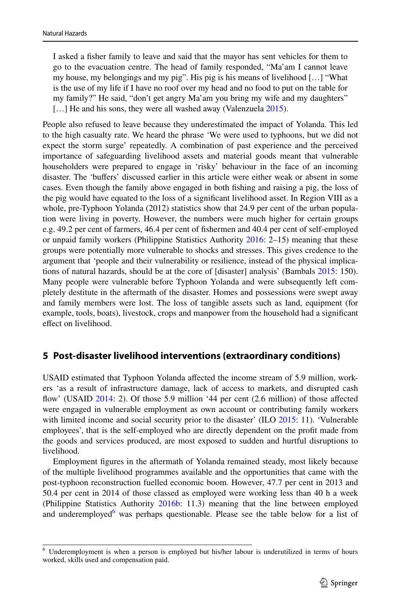I asked a fsher family to leave and said that the mayor has sent vehicles for them to go to the evacuation centre. The head of family responded, "Ma'am I cannot leave my house, my belongings and my pig". His pig is his means of livelihood […] "What is the use of my life if I have no roof over my head and no food to put on the table for my family?" He said, "don't get angry Ma'am you bring my wife and my daughters" [...] He and his sons, they were all washed away (Valenzuela [2015\)](#page-18-19).

People also refused to leave because they underestimated the impact of Yolanda. This led to the high casualty rate. We heard the phrase 'We were used to typhoons, but we did not expect the storm surge' repeatedly. A combination of past experience and the perceived importance of safeguarding livelihood assets and material goods meant that vulnerable householders were prepared to engage in 'risky' behaviour in the face of an incoming disaster. The 'bufers' discussed earlier in this article were either weak or absent in some cases. Even though the family above engaged in both fshing and raising a pig, the loss of the pig would have equated to the loss of a signifcant livelihood asset. In Region VIII as a whole, pre-Typhoon Yolanda (2012) statistics show that 24.9 per cent of the urban population were living in poverty. However, the numbers were much higher for certain groups e.g. 49.2 per cent of farmers, 46.4 per cent of fshermen and 40.4 per cent of self-employed or unpaid family workers (Philippine Statistics Authority [2016:](#page-17-2) 2–15) meaning that these groups were potentially more vulnerable to shocks and stresses. This gives credence to the argument that 'people and their vulnerability or resilience, instead of the physical implications of natural hazards, should be at the core of [disaster] analysis' (Bambals [2015](#page-16-19): 150). Many people were vulnerable before Typhoon Yolanda and were subsequently left completely destitute in the aftermath of the disaster. Homes and possessions were swept away and family members were lost. The loss of tangible assets such as land, equipment (for example, tools, boats), livestock, crops and manpower from the household had a signifcant efect on livelihood.

# **5 Post‑disaster livelihood interventions (extraordinary conditions)**

USAID estimated that Typhoon Yolanda afected the income stream of 5.9 million, workers 'as a result of infrastructure damage, lack of access to markets, and disrupted cash flow' (USAID [2014:](#page-18-20) 2). Of those 5.9 million '44 per cent (2.6 million) of those affected were engaged in vulnerable employment as own account or contributing family workers with limited income and social security prior to the disaster' (ILO [2015](#page-17-18): 11). 'Vulnerable employees', that is the self-employed who are directly dependent on the proft made from the goods and services produced, are most exposed to sudden and hurtful disruptions to livelihood.

Employment fgures in the aftermath of Yolanda remained steady, most likely because of the multiple livelihood programmes available and the opportunities that came with the post-typhoon reconstruction fuelled economic boom. However, 47.7 per cent in 2013 and 50.4 per cent in 2014 of those classed as employed were working less than 40 h a week (Philippine Statistics Authority [2016b](#page-17-2): 11.3) meaning that the line between employed and underemployed<sup>[6](#page-8-0)</sup> was perhaps questionable. Please see the table below for a list of

<span id="page-8-0"></span><sup>&</sup>lt;sup>6</sup> Underemployment is when a person is employed but his/her labour is underutilized in terms of hours worked, skills used and compensation paid.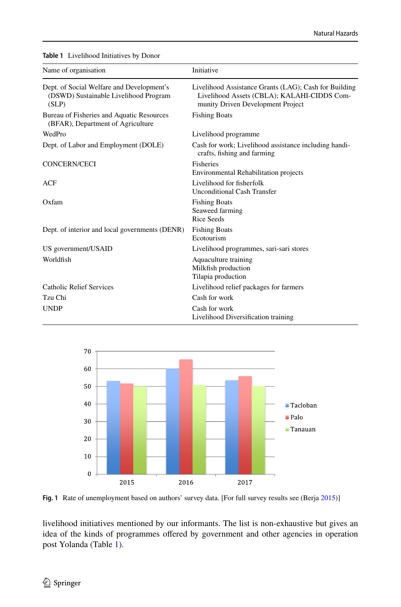| Name of organisation                                                                        | Initiative                                                                                                                                |
|---------------------------------------------------------------------------------------------|-------------------------------------------------------------------------------------------------------------------------------------------|
| Dept. of Social Welfare and Development's<br>(DSWD) Sustainable Livelihood Program<br>(SLP) | Livelihood Assistance Grants (LAG); Cash for Building<br>Livelihood Assets (CBLA); KALAHI-CIDDS Com-<br>munity Driven Development Project |
| Bureau of Fisheries and Aquatic Resources<br>(BFAR), Department of Agriculture              | <b>Fishing Boats</b>                                                                                                                      |
| WedPro                                                                                      | Livelihood programme                                                                                                                      |
| Dept. of Labor and Employment (DOLE)                                                        | Cash for work; Livelihood assistance including handi-<br>crafts, fishing and farming                                                      |
| <b>CONCERN/CECI</b>                                                                         | Fisheries<br>Environmental Rehabilitation projects                                                                                        |
| ACF                                                                                         | Livelihood for fisherfolk<br><b>Unconditional Cash Transfer</b>                                                                           |
| Oxfam                                                                                       | <b>Fishing Boats</b><br>Seaweed farming<br><b>Rice Seeds</b>                                                                              |
| Dept. of interior and local governments (DENR)                                              | <b>Fishing Boats</b><br>Ecotourism                                                                                                        |
| US government/USAID                                                                         | Livelihood programmes, sari-sari stores                                                                                                   |
| Worldfish                                                                                   | Aquaculture training<br>Milkfish production<br>Tilapia production                                                                         |
| <b>Catholic Relief Services</b>                                                             | Livelihood relief packages for farmers                                                                                                    |
| Tzu Chi                                                                                     | Cash for work                                                                                                                             |
| <b>UNDP</b>                                                                                 | Cash for work<br>Livelihood Diversification training                                                                                      |

<span id="page-9-0"></span>**Table 1** Livelihood Initiatives by Donor



<span id="page-9-1"></span>Fig. 1 Rate of unemployment based on authors' survey data. [For full survey results see (Berja [2015\)](#page-16-20)]

livelihood initiatives mentioned by our informants. The list is non-exhaustive but gives an idea of the kinds of programmes ofered by government and other agencies in operation post Yolanda (Table [1](#page-9-0)).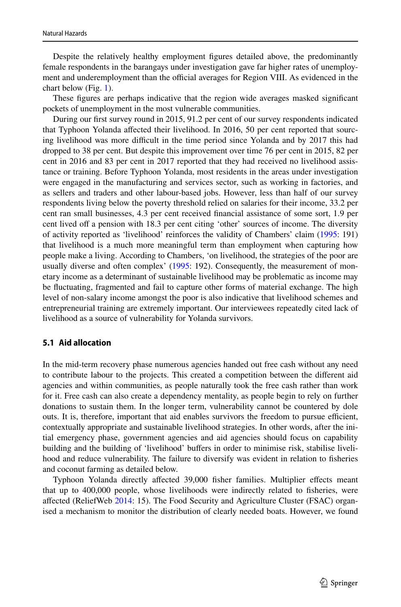Despite the relatively healthy employment fgures detailed above, the predominantly female respondents in the barangays under investigation gave far higher rates of unemployment and underemployment than the official averages for Region VIII. As evidenced in the chart below (Fig. [1\)](#page-9-1).

These fgures are perhaps indicative that the region wide averages masked signifcant pockets of unemployment in the most vulnerable communities.

During our frst survey round in 2015, 91.2 per cent of our survey respondents indicated that Typhoon Yolanda afected their livelihood. In 2016, 50 per cent reported that sourcing livelihood was more difcult in the time period since Yolanda and by 2017 this had dropped to 38 per cent. But despite this improvement over time 76 per cent in 2015, 82 per cent in 2016 and 83 per cent in 2017 reported that they had received no livelihood assistance or training. Before Typhoon Yolanda, most residents in the areas under investigation were engaged in the manufacturing and services sector, such as working in factories, and as sellers and traders and other labour-based jobs. However, less than half of our survey respondents living below the poverty threshold relied on salaries for their income, 33.2 per cent ran small businesses, 4.3 per cent received fnancial assistance of some sort, 1.9 per cent lived off a pension with 18.3 per cent citing 'other' sources of income. The diversity of activity reported as 'livelihood' reinforces the validity of Chambers' claim ([1995:](#page-16-6) 191) that livelihood is a much more meaningful term than employment when capturing how people make a living. According to Chambers, 'on livelihood, the strategies of the poor are usually diverse and often complex' ([1995:](#page-16-6) 192). Consequently, the measurement of monetary income as a determinant of sustainable livelihood may be problematic as income may be fuctuating, fragmented and fail to capture other forms of material exchange. The high level of non-salary income amongst the poor is also indicative that livelihood schemes and entrepreneurial training are extremely important. Our interviewees repeatedly cited lack of livelihood as a source of vulnerability for Yolanda survivors.

### **5.1 Aid allocation**

In the mid-term recovery phase numerous agencies handed out free cash without any need to contribute labour to the projects. This created a competition between the diferent aid agencies and within communities, as people naturally took the free cash rather than work for it. Free cash can also create a dependency mentality, as people begin to rely on further donations to sustain them. In the longer term, vulnerability cannot be countered by dole outs. It is, therefore, important that aid enables survivors the freedom to pursue efficient, contextually appropriate and sustainable livelihood strategies. In other words, after the initial emergency phase, government agencies and aid agencies should focus on capability building and the building of 'livelihood' bufers in order to minimise risk, stabilise livelihood and reduce vulnerability. The failure to diversify was evident in relation to fsheries and coconut farming as detailed below.

Typhoon Yolanda directly afected 39,000 fsher families. Multiplier efects meant that up to 400,000 people, whose livelihoods were indirectly related to fsheries, were afected (ReliefWeb [2014:](#page-18-21) 15). The Food Security and Agriculture Cluster (FSAC) organised a mechanism to monitor the distribution of clearly needed boats. However, we found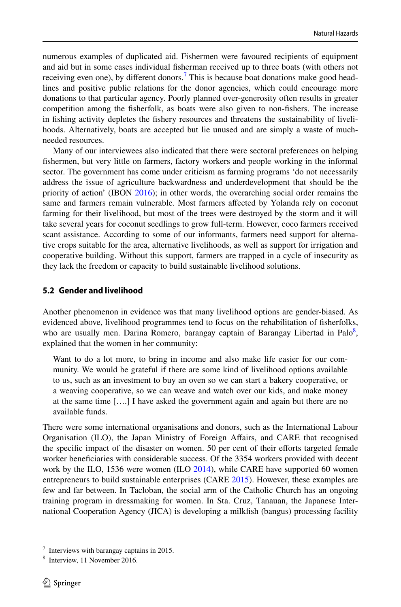numerous examples of duplicated aid. Fishermen were favoured recipients of equipment and aid but in some cases individual fsherman received up to three boats (with others not receiving even one), by different donors.<sup>7</sup> This is because boat donations make good headlines and positive public relations for the donor agencies, which could encourage more donations to that particular agency. Poorly planned over-generosity often results in greater competition among the fsherfolk, as boats were also given to non-fshers. The increase in fshing activity depletes the fshery resources and threatens the sustainability of livelihoods. Alternatively, boats are accepted but lie unused and are simply a waste of muchneeded resources.

Many of our interviewees also indicated that there were sectoral preferences on helping fshermen, but very little on farmers, factory workers and people working in the informal sector. The government has come under criticism as farming programs 'do not necessarily address the issue of agriculture backwardness and underdevelopment that should be the priority of action' (IBON [2016\)](#page-17-19); in other words, the overarching social order remains the same and farmers remain vulnerable. Most farmers afected by Yolanda rely on coconut farming for their livelihood, but most of the trees were destroyed by the storm and it will take several years for coconut seedlings to grow full-term. However, coco farmers received scant assistance. According to some of our informants, farmers need support for alternative crops suitable for the area, alternative livelihoods, as well as support for irrigation and cooperative building. Without this support, farmers are trapped in a cycle of insecurity as they lack the freedom or capacity to build sustainable livelihood solutions.

#### **5.2 Gender and livelihood**

Another phenomenon in evidence was that many livelihood options are gender-biased. As evidenced above, livelihood programmes tend to focus on the rehabilitation of fsherfolks, who are usually men. Darina Romero, barangay captain of Barangay Libertad in Palo<sup>[8](#page-11-1)</sup>, explained that the women in her community:

Want to do a lot more, to bring in income and also make life easier for our community. We would be grateful if there are some kind of livelihood options available to us, such as an investment to buy an oven so we can start a bakery cooperative, or a weaving cooperative, so we can weave and watch over our kids, and make money at the same time [….] I have asked the government again and again but there are no available funds.

There were some international organisations and donors, such as the International Labour Organisation (ILO), the Japan Ministry of Foreign Afairs, and CARE that recognised the specifc impact of the disaster on women. 50 per cent of their eforts targeted female worker benefciaries with considerable success. Of the 3354 workers provided with decent work by the ILO, 1536 were women (ILO [2014](#page-17-20)), while CARE have supported 60 women entrepreneurs to build sustainable enterprises (CARE [2015](#page-16-21)). However, these examples are few and far between. In Tacloban, the social arm of the Catholic Church has an ongoing training program in dressmaking for women. In Sta. Cruz, Tanauan, the Japanese International Cooperation Agency (JICA) is developing a milkfsh (bangus) processing facility

<span id="page-11-0"></span>Interviews with barangay captains in 2015.

<span id="page-11-1"></span>Interview, 11 November 2016.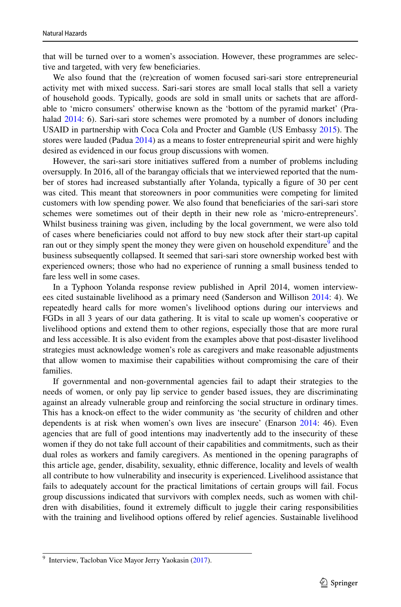that will be turned over to a women's association. However, these programmes are selective and targeted, with very few benefciaries.

We also found that the (re)creation of women focused sari-sari store entrepreneurial activity met with mixed success. Sari-sari stores are small local stalls that sell a variety of household goods. Typically, goods are sold in small units or sachets that are afordable to 'micro consumers' otherwise known as the 'bottom of the pyramid market' (Pra-halad [2014:](#page-18-22) 6). Sari-sari store schemes were promoted by a number of donors including USAID in partnership with Coca Cola and Procter and Gamble (US Embassy [2015](#page-18-23)). The stores were lauded (Padua [2014](#page-17-21)) as a means to foster entrepreneurial spirit and were highly desired as evidenced in our focus group discussions with women.

However, the sari-sari store initiatives sufered from a number of problems including oversupply. In 2016, all of the barangay officials that we interviewed reported that the number of stores had increased substantially after Yolanda, typically a fgure of 30 per cent was cited. This meant that storeowners in poor communities were competing for limited customers with low spending power. We also found that benefciaries of the sari-sari store schemes were sometimes out of their depth in their new role as 'micro-entrepreneurs'. Whilst business training was given, including by the local government, we were also told of cases where benefciaries could not aford to buy new stock after their start-up capital ran out or they simply spent the money they were given on household expenditure<sup>[9](#page-12-0)</sup> and the business subsequently collapsed. It seemed that sari-sari store ownership worked best with experienced owners; those who had no experience of running a small business tended to fare less well in some cases.

In a Typhoon Yolanda response review published in April 2014, women interviewees cited sustainable livelihood as a primary need (Sanderson and Willison [2014:](#page-18-24) 4). We repeatedly heard calls for more women's livelihood options during our interviews and FGDs in all 3 years of our data gathering. It is vital to scale up women's cooperative or livelihood options and extend them to other regions, especially those that are more rural and less accessible. It is also evident from the examples above that post-disaster livelihood strategies must acknowledge women's role as caregivers and make reasonable adjustments that allow women to maximise their capabilities without compromising the care of their families.

If governmental and non-governmental agencies fail to adapt their strategies to the needs of women, or only pay lip service to gender based issues, they are discriminating against an already vulnerable group and reinforcing the social structure in ordinary times. This has a knock-on efect to the wider community as 'the security of children and other dependents is at risk when women's own lives are insecure' (Enarson [2014:](#page-17-22) 46). Even agencies that are full of good intentions may inadvertently add to the insecurity of these women if they do not take full account of their capabilities and commitments, such as their dual roles as workers and family caregivers. As mentioned in the opening paragraphs of this article age, gender, disability, sexuality, ethnic diference, locality and levels of wealth all contribute to how vulnerability and insecurity is experienced. Livelihood assistance that fails to adequately account for the practical limitations of certain groups will fail. Focus group discussions indicated that survivors with complex needs, such as women with children with disabilities, found it extremely difficult to juggle their caring responsibilities with the training and livelihood options ofered by relief agencies. Sustainable livelihood

<span id="page-12-0"></span><sup>&</sup>lt;sup>9</sup> Interview, Tacloban Vice Mayor Jerry Yaokasin ([2017\)](#page-18-25).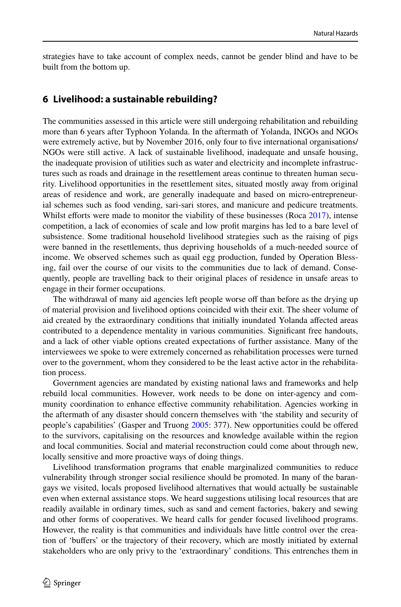strategies have to take account of complex needs, cannot be gender blind and have to be built from the bottom up.

#### **6 Livelihood: a sustainable rebuilding?**

The communities assessed in this article were still undergoing rehabilitation and rebuilding more than 6 years after Typhoon Yolanda. In the aftermath of Yolanda, INGOs and NGOs were extremely active, but by November 2016, only four to five international organisations/ NGOs were still active. A lack of sustainable livelihood, inadequate and unsafe housing, the inadequate provision of utilities such as water and electricity and incomplete infrastructures such as roads and drainage in the resettlement areas continue to threaten human security. Livelihood opportunities in the resettlement sites, situated mostly away from original areas of residence and work, are generally inadequate and based on micro-entrepreneurial schemes such as food vending, sari-sari stores, and manicure and pedicure treatments. Whilst efforts were made to monitor the viability of these businesses (Roca [2017](#page-18-26)), intense competition, a lack of economies of scale and low proft margins has led to a bare level of subsistence. Some traditional household livelihood strategies such as the raising of pigs were banned in the resettlements, thus depriving households of a much-needed source of income. We observed schemes such as quail egg production, funded by Operation Blessing, fail over the course of our visits to the communities due to lack of demand. Consequently, people are travelling back to their original places of residence in unsafe areas to engage in their former occupations.

The withdrawal of many aid agencies left people worse off than before as the drying up of material provision and livelihood options coincided with their exit. The sheer volume of aid created by the extraordinary conditions that initially inundated Yolanda afected areas contributed to a dependence mentality in various communities. Signifcant free handouts, and a lack of other viable options created expectations of further assistance. Many of the interviewees we spoke to were extremely concerned as rehabilitation processes were turned over to the government, whom they considered to be the least active actor in the rehabilitation process.

Government agencies are mandated by existing national laws and frameworks and help rebuild local communities. However, work needs to be done on inter-agency and community coordination to enhance efective community rehabilitation. Agencies working in the aftermath of any disaster should concern themselves with 'the stability and security of people's capabilities' (Gasper and Truong [2005:](#page-17-23) 377). New opportunities could be ofered to the survivors, capitalising on the resources and knowledge available within the region and local communities. Social and material reconstruction could come about through new, locally sensitive and more proactive ways of doing things.

Livelihood transformation programs that enable marginalized communities to reduce vulnerability through stronger social resilience should be promoted. In many of the barangays we visited, locals proposed livelihood alternatives that would actually be sustainable even when external assistance stops. We heard suggestions utilising local resources that are readily available in ordinary times, such as sand and cement factories, bakery and sewing and other forms of cooperatives. We heard calls for gender focused livelihood programs. However, the reality is that communities and individuals have little control over the creation of 'bufers' or the trajectory of their recovery, which are mostly initiated by external stakeholders who are only privy to the 'extraordinary' conditions. This entrenches them in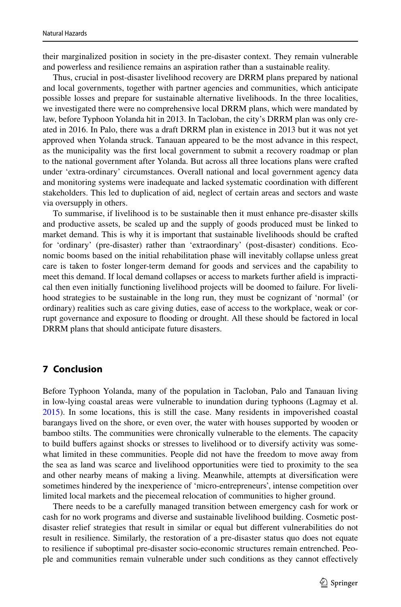their marginalized position in society in the pre-disaster context. They remain vulnerable and powerless and resilience remains an aspiration rather than a sustainable reality.

Thus, crucial in post-disaster livelihood recovery are DRRM plans prepared by national and local governments, together with partner agencies and communities, which anticipate possible losses and prepare for sustainable alternative livelihoods. In the three localities, we investigated there were no comprehensive local DRRM plans, which were mandated by law, before Typhoon Yolanda hit in 2013. In Tacloban, the city's DRRM plan was only created in 2016. In Palo, there was a draft DRRM plan in existence in 2013 but it was not yet approved when Yolanda struck. Tanauan appeared to be the most advance in this respect, as the municipality was the frst local government to submit a recovery roadmap or plan to the national government after Yolanda. But across all three locations plans were crafted under 'extra-ordinary' circumstances. Overall national and local government agency data and monitoring systems were inadequate and lacked systematic coordination with diferent stakeholders. This led to duplication of aid, neglect of certain areas and sectors and waste via oversupply in others.

To summarise, if livelihood is to be sustainable then it must enhance pre-disaster skills and productive assets, be scaled up and the supply of goods produced must be linked to market demand. This is why it is important that sustainable livelihoods should be crafted for 'ordinary' (pre-disaster) rather than 'extraordinary' (post-disaster) conditions. Economic booms based on the initial rehabilitation phase will inevitably collapse unless great care is taken to foster longer-term demand for goods and services and the capability to meet this demand. If local demand collapses or access to markets further afeld is impractical then even initially functioning livelihood projects will be doomed to failure. For livelihood strategies to be sustainable in the long run, they must be cognizant of 'normal' (or ordinary) realities such as care giving duties, ease of access to the workplace, weak or corrupt governance and exposure to fooding or drought. All these should be factored in local DRRM plans that should anticipate future disasters.

# **7 Conclusion**

Before Typhoon Yolanda, many of the population in Tacloban, Palo and Tanauan living in low-lying coastal areas were vulnerable to inundation during typhoons (Lagmay et al. [2015\)](#page-17-24). In some locations, this is still the case. Many residents in impoverished coastal barangays lived on the shore, or even over, the water with houses supported by wooden or bamboo stilts. The communities were chronically vulnerable to the elements. The capacity to build bufers against shocks or stresses to livelihood or to diversify activity was somewhat limited in these communities. People did not have the freedom to move away from the sea as land was scarce and livelihood opportunities were tied to proximity to the sea and other nearby means of making a living. Meanwhile, attempts at diversifcation were sometimes hindered by the inexperience of 'micro-entrepreneurs', intense competition over limited local markets and the piecemeal relocation of communities to higher ground.

There needs to be a carefully managed transition between emergency cash for work or cash for no work programs and diverse and sustainable livelihood building. Cosmetic postdisaster relief strategies that result in similar or equal but diferent vulnerabilities do not result in resilience. Similarly, the restoration of a pre-disaster status quo does not equate to resilience if suboptimal pre-disaster socio-economic structures remain entrenched. People and communities remain vulnerable under such conditions as they cannot efectively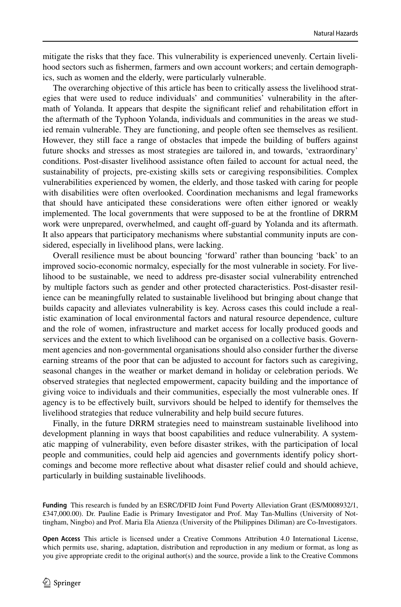mitigate the risks that they face. This vulnerability is experienced unevenly. Certain livelihood sectors such as fshermen, farmers and own account workers; and certain demographics, such as women and the elderly, were particularly vulnerable.

The overarching objective of this article has been to critically assess the livelihood strategies that were used to reduce individuals' and communities' vulnerability in the aftermath of Yolanda. It appears that despite the signifcant relief and rehabilitation efort in the aftermath of the Typhoon Yolanda, individuals and communities in the areas we studied remain vulnerable. They are functioning, and people often see themselves as resilient. However, they still face a range of obstacles that impede the building of bufers against future shocks and stresses as most strategies are tailored in, and towards, 'extraordinary' conditions. Post-disaster livelihood assistance often failed to account for actual need, the sustainability of projects, pre-existing skills sets or caregiving responsibilities. Complex vulnerabilities experienced by women, the elderly, and those tasked with caring for people with disabilities were often overlooked. Coordination mechanisms and legal frameworks that should have anticipated these considerations were often either ignored or weakly implemented. The local governments that were supposed to be at the frontline of DRRM work were unprepared, overwhelmed, and caught off-guard by Yolanda and its aftermath. It also appears that participatory mechanisms where substantial community inputs are considered, especially in livelihood plans, were lacking.

Overall resilience must be about bouncing 'forward' rather than bouncing 'back' to an improved socio-economic normalcy, especially for the most vulnerable in society. For livelihood to be sustainable, we need to address pre-disaster social vulnerability entrenched by multiple factors such as gender and other protected characteristics. Post-disaster resilience can be meaningfully related to sustainable livelihood but bringing about change that builds capacity and alleviates vulnerability is key. Across cases this could include a realistic examination of local environmental factors and natural resource dependence, culture and the role of women, infrastructure and market access for locally produced goods and services and the extent to which livelihood can be organised on a collective basis. Government agencies and non-governmental organisations should also consider further the diverse earning streams of the poor that can be adjusted to account for factors such as caregiving, seasonal changes in the weather or market demand in holiday or celebration periods. We observed strategies that neglected empowerment, capacity building and the importance of giving voice to individuals and their communities, especially the most vulnerable ones. If agency is to be efectively built, survivors should be helped to identify for themselves the livelihood strategies that reduce vulnerability and help build secure futures.

Finally, in the future DRRM strategies need to mainstream sustainable livelihood into development planning in ways that boost capabilities and reduce vulnerability. A systematic mapping of vulnerability, even before disaster strikes, with the participation of local people and communities, could help aid agencies and governments identify policy shortcomings and become more refective about what disaster relief could and should achieve, particularly in building sustainable livelihoods.

**Funding** This research is funded by an ESRC/DFID Joint Fund Poverty Alleviation Grant (ES/M008932/1, £347,000.00). Dr. Pauline Eadie is Primary Investigator and Prof. May Tan-Mullins (University of Nottingham, Ningbo) and Prof. Maria Ela Atienza (University of the Philippines Diliman) are Co-Investigators.

**Open Access** This article is licensed under a Creative Commons Attribution 4.0 International License, which permits use, sharing, adaptation, distribution and reproduction in any medium or format, as long as you give appropriate credit to the original author(s) and the source, provide a link to the Creative Commons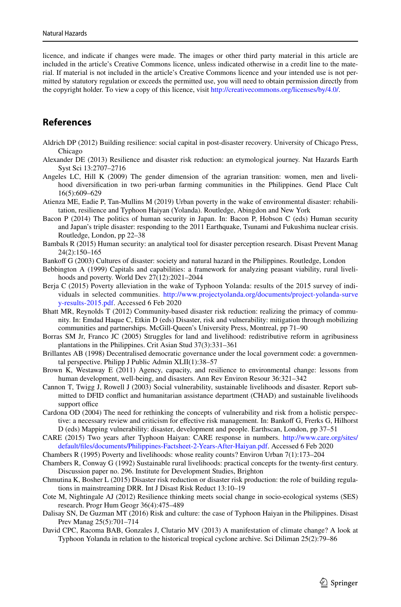licence, and indicate if changes were made. The images or other third party material in this article are included in the article's Creative Commons licence, unless indicated otherwise in a credit line to the material. If material is not included in the article's Creative Commons licence and your intended use is not permitted by statutory regulation or exceeds the permitted use, you will need to obtain permission directly from the copyright holder. To view a copy of this licence, visit<http://creativecommons.org/licenses/by/4.0/>.

# **References**

- <span id="page-16-11"></span>Aldrich DP (2012) Building resilience: social capital in post-disaster recovery. University of Chicago Press, Chicago
- <span id="page-16-4"></span>Alexander DE (2013) Resilience and disaster risk reduction: an etymological journey. Nat Hazards Earth Syst Sci 13:2707–2716
- <span id="page-16-10"></span>Angeles LC, Hill K (2009) The gender dimension of the agrarian transition: women, men and livelihood diversifcation in two peri-urban farming communities in the Philippines. Gend Place Cult 16(5):609–629
- <span id="page-16-3"></span>Atienza ME, Eadie P, Tan-Mullins M (2019) Urban poverty in the wake of environmental disaster: rehabilitation, resilience and Typhoon Haiyan (Yolanda). Routledge, Abingdon and New York
- <span id="page-16-12"></span>Bacon P (2014) The politics of human security in Japan. In: Bacon P, Hobson C (eds) Human security and Japan's triple disaster: responding to the 2011 Earthquake, Tsunami and Fukushima nuclear crisis. Routledge, London, pp 22–38
- <span id="page-16-19"></span>Bambals R (2015) Human security: an analytical tool for disaster perception research. Disast Prevent Manag 24(2):150–165
- <span id="page-16-14"></span>Bankoff G (2003) Cultures of disaster: society and natural hazard in the Philippines. Routledge, London
- <span id="page-16-8"></span>Bebbington A (1999) Capitals and capabilities: a framework for analyzing peasant viability, rural livelihoods and poverty. World Dev 27(12):2021–2044
- <span id="page-16-20"></span>Berja C (2015) Poverty alleviation in the wake of Typhoon Yolanda: results of the 2015 survey of individuals in selected communities. [http://www.projectyolanda.org/documents/project-yolanda-surve](http://www.projectyolanda.org/documents/project-yolanda-survey-results-2015.pdf) [y-results-2015.pdf.](http://www.projectyolanda.org/documents/project-yolanda-survey-results-2015.pdf) Accessed 6 Feb 2020
- <span id="page-16-2"></span>Bhatt MR, Reynolds T (2012) Community-based disaster risk reduction: realizing the primacy of community. In: Emdad Haque C, Etkin D (eds) Disaster, risk and vulnerability: mitigation through mobilizing communities and partnerships. McGill-Queen's University Press, Montreal, pp 71–90
- <span id="page-16-9"></span>Borras SM Jr, Franco JC (2005) Struggles for land and livelihood: redistributive reform in agribusiness plantations in the Philippines. Crit Asian Stud 37(3):331–361
- <span id="page-16-1"></span>Brillantes AB (1998) Decentralised democratic governance under the local government code: a governmental perspective. Philipp J Public Admin XLII(1):38–57
- <span id="page-16-15"></span>Brown K, Westaway E (2011) Agency, capacity, and resilience to environmental change: lessons from human development, well-being, and disasters. Ann Rev Environ Resour 36:321–342
- <span id="page-16-0"></span>Cannon T, Twigg J, Rowell J (2003) Social vulnerability, sustainable livelihoods and disaster. Report submitted to DFID confict and humanitarian assistance department (CHAD) and sustainable livelihoods support office
- <span id="page-16-13"></span>Cardona OD (2004) The need for rethinking the concepts of vulnerability and risk from a holistic perspective: a necessary review and criticism for effective risk management. In: Bankoff G, Frerks G, Hilhorst D (eds) Mapping vulnerability: disaster, development and people. Earthscan, London, pp 37–51
- <span id="page-16-21"></span>CARE (2015) Two years after Typhoon Haiyan: CARE response in numbers. [http://www.care.org/sites/](http://www.care.org/sites/default/files/documents/Philippines-Factsheet-2-Years-After-Haiyan.pdf) [default/fles/documents/Philippines-Factsheet-2-Years-After-Haiyan.pdf](http://www.care.org/sites/default/files/documents/Philippines-Factsheet-2-Years-After-Haiyan.pdf). Accessed 6 Feb 2020
- <span id="page-16-6"></span>Chambers R (1995) Poverty and livelihoods: whose reality counts? Environ Urban 7(1):173–204
- <span id="page-16-7"></span>Chambers R, Conway G (1992) Sustainable rural livelihoods: practical concepts for the twenty-frst century. Discussion paper no. 296. Institute for Development Studies, Brighton
- <span id="page-16-17"></span>Chmutina K, Bosher L (2015) Disaster risk reduction or disaster risk production: the role of building regulations in mainstreaming DRR. Int J Disast Risk Reduct 13:10–19
- <span id="page-16-5"></span>Cote M, Nightingale AJ (2012) Resilience thinking meets social change in socio-ecological systems (SES) research. Progr Hum Geogr 36(4):475–489
- <span id="page-16-18"></span>Dalisay SN, De Guzman MT (2016) Risk and culture: the case of Typhoon Haiyan in the Philippines. Disast Prev Manag 25(5):701–714
- <span id="page-16-16"></span>David CPC, Racoma BAB, Gonzales J, Clutario MV (2013) A manifestation of climate change? A look at Typhoon Yolanda in relation to the historical tropical cyclone archive. Sci Diliman 25(2):79–86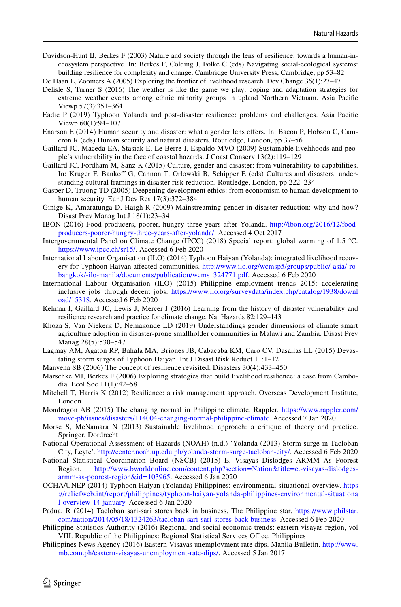<span id="page-17-7"></span>Davidson-Hunt IJ, Berkes F (2003) Nature and society through the lens of resilience: towards a human-inecosystem perspective. In: Berkes F, Colding J, Folke C (eds) Navigating social-ecological systems: building resilience for complexity and change. Cambridge University Press, Cambridge, pp 53–82

<span id="page-17-8"></span>De Haan L, Zoomers A (2005) Exploring the frontier of livelihood research. Dev Change 36(1):27–47

- <span id="page-17-9"></span>Delisle S, Turner S (2016) The weather is like the game we play: coping and adaptation strategies for extreme weather events among ethnic minority groups in upland Northern Vietnam. Asia Pacifc Viewp 57(3):351–364
- <span id="page-17-5"></span>Eadie P (2019) Typhoon Yolanda and post-disaster resilience: problems and challenges. Asia Pacifc Viewp 60(1):94–107
- <span id="page-17-22"></span>Enarson E (2014) Human security and disaster: what a gender lens offers. In: Bacon P, Hobson C, Cameron R (eds) Human security and natural disasters. Routledge, London, pp 37–56
- <span id="page-17-12"></span>Gaillard JC, Maceda EA, Stasiak E, Le Berre I, Espaldo MVO (2009) Sustainable livelihoods and people's vulnerability in the face of coastal hazards. J Coast Conserv 13(2):119–129
- <span id="page-17-10"></span>Gaillard JC, Fordham M, Sanz K (2015) Culture, gender and disaster: from vulnerability to capabilities. In: Kruger F, Bankoff G, Cannon T, Orlowski B, Schipper E (eds) Cultures and disasters: understanding cultural framings in disaster risk reduction. Routledge, London, pp 222–234
- <span id="page-17-23"></span>Gasper D, Truong TD (2005) Deepening development ethics: from economism to human development to human security. Eur J Dev Res 17(3):372–384
- <span id="page-17-16"></span>Ginige K, Amaratunga D, Haigh R (2009) Mainstreaming gender in disaster reduction: why and how? Disast Prev Manag Int J 18(1):23–34
- <span id="page-17-19"></span>IBON (2016) Food producers, poorer, hungry three years after Yolanda. [http://ibon.org/2016/12/food](http://ibon.org/2016/12/food-producers-poorer-hungry-three-years-after-yolanda/)[producers-poorer-hungry-three-years-after-yolanda/.](http://ibon.org/2016/12/food-producers-poorer-hungry-three-years-after-yolanda/) Accessed 4 Oct 2017
- <span id="page-17-15"></span>Intergovernmental Panel on Climate Change (IPCC) (2018) Special report: global warming of 1.5 °C. [https://www.ipcc.ch/sr15/.](https://www.ipcc.ch/sr15/) Accessed 6 Feb 2020
- <span id="page-17-20"></span>International Labour Organisation (ILO) (2014) Typhoon Haiyan (Yolanda): integrated livelihood recovery for Typhoon Haiyan afected communities. [http://www.ilo.org/wcmsp5/groups/public/-asia/-ro](http://www.ilo.org/wcmsp5/groups/public/-asia/-ro-bangkok/-ilo-manila/documents/publication/wcms_324771.pdf)[bangkok/-ilo-manila/documents/publication/wcms\\_324771.pdf.](http://www.ilo.org/wcmsp5/groups/public/-asia/-ro-bangkok/-ilo-manila/documents/publication/wcms_324771.pdf) Accessed 6 Feb 2020
- <span id="page-17-18"></span>International Labour Organisation (ILO) (2015) Philippine employment trends 2015: accelerating inclusive jobs through decent jobs. [https://www.ilo.org/surveydata/index.php/catalog/1938/downl](https://www.ilo.org/surveydata/index.php/catalog/1938/download/15318) [oad/15318.](https://www.ilo.org/surveydata/index.php/catalog/1938/download/15318) Accessed 6 Feb 2020
- <span id="page-17-13"></span>Kelman I, Gaillard JC, Lewis J, Mercer J (2016) Learning from the history of disaster vulnerability and resilience research and practice for climate change. Nat Hazards 82:129–143
- <span id="page-17-17"></span>Khoza S, Van Niekerk D, Nemakonde LD (2019) Understandings gender dimensions of climate smart agriculture adoption in disaster-prone smallholder communities in Malawi and Zambia. Disast Prev Manag 28(5):530–547
- <span id="page-17-24"></span>Lagmay AM, Agaton RP, Bahala MA, Briones JB, Cabacaba KM, Caro CV, Dasallas LL (2015) Devastating storm surges of Typhoon Haiyan. Int J Disast Risk Reduct 11:1–12
- <span id="page-17-4"></span>Manyena SB (2006) The concept of resilience revisited. Disasters 30(4):433–450
- <span id="page-17-1"></span>Marschke MJ, Berkes F (2006) Exploring strategies that build livelihood resilience: a case from Cambodia. Ecol Soc 11(1):42–58
- <span id="page-17-6"></span>Mitchell T, Harris K (2012) Resilience: a risk management approach. Overseas Development Institute, London
- <span id="page-17-14"></span>Mondragon AB (2015) The changing normal in Philippine climate, Rappler. [https://www.rappler.com/](https://www.rappler.com/move-ph/issues/disasters/114004-changing-normal-philippine-climate) [move-ph/issues/disasters/114004-changing-normal-philippine-climate](https://www.rappler.com/move-ph/issues/disasters/114004-changing-normal-philippine-climate). Accessed 7 Jan 2020
- <span id="page-17-11"></span>Morse S, McNamara N (2013) Sustainable livelihood approach: a critique of theory and practice. Springer, Dordrecht
- National Operational Assessment of Hazards (NOAH) (n.d.) 'Yolanda (2013) Storm surge in Tacloban City, Leyte'. [http://center.noah.up.edu.ph/yolanda-storm-surge-tacloban-city/.](http://center.noah.up.edu.ph/yolanda-storm-surge-tacloban-city/) Accessed 6 Feb 2020
- <span id="page-17-3"></span>National Statistical Coordination Board (NSCB) (2015) E. Visayas Dislodges ARMM As Poorest Region. [http://www.bworldonline.com/content.php?section=Nation&title=e.-visayas-dislodges](http://www.bworldonline.com/content.php%3fsection%3dNation%26title%3de.-visayas-dislodges-armm-as-poorest-region%26id%3d103965)[armm-as-poorest-region&id=103965.](http://www.bworldonline.com/content.php%3fsection%3dNation%26title%3de.-visayas-dislodges-armm-as-poorest-region%26id%3d103965) Accessed 6 Jan 2020
- <span id="page-17-0"></span>OCHA/UNEP (2014) Typhoon Haiyan (Yolanda) Philippines: environmental situational overview. [https](https://reliefweb.int/report/philippines/typhoon-haiyan-yolanda-philippines-environmental-situational-overview-14-january) [://reliefweb.int/report/philippines/typhoon-haiyan-yolanda-philippines-environmental-situationa](https://reliefweb.int/report/philippines/typhoon-haiyan-yolanda-philippines-environmental-situational-overview-14-january) [l-overview-14-january](https://reliefweb.int/report/philippines/typhoon-haiyan-yolanda-philippines-environmental-situational-overview-14-january). Accessed 6 Jan 2020
- <span id="page-17-21"></span>Padua, R (2014) Tacloban sari-sari stores back in business. The Philippine star. [https://www.philstar.](https://www.philstar.com/nation/2014/05/18/1324263/tacloban-sari-sari-stores-back-business) [com/nation/2014/05/18/1324263/tacloban-sari-sari-stores-back-business.](https://www.philstar.com/nation/2014/05/18/1324263/tacloban-sari-sari-stores-back-business) Accessed 6 Feb 2020
- <span id="page-17-2"></span>Philippine Statistics Authority (2016) Regional and social economic trends: eastern visayas region, vol VIII. Republic of the Philippines: Regional Statistical Services Office, Philippines
- Philippines News Agency (2016) Eastern Visayas unemployment rate dips. Manila Bulletin. [http://www.](http://www.mb.com.ph/eastern-visayas-unemployment-rate-dips/) [mb.com.ph/eastern-visayas-unemployment-rate-dips/](http://www.mb.com.ph/eastern-visayas-unemployment-rate-dips/). Accessed 5 Jan 2017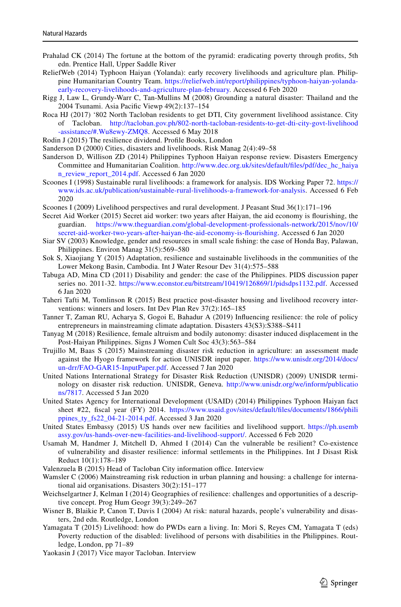- <span id="page-18-22"></span>Prahalad CK (2014) The fortune at the bottom of the pyramid: eradicating poverty through profts, 5th edn. Prentice Hall, Upper Saddle River
- <span id="page-18-21"></span>ReliefWeb (2014) Typhoon Haiyan (Yolanda): early recovery livelihoods and agriculture plan. Philippine Humanitarian Country Team. [https://reliefweb.int/report/philippines/typhoon-haiyan-yolanda](https://reliefweb.int/report/philippines/typhoon-haiyan-yolanda-early-recovery-livelihoods-and-agriculture-plan-february)[early-recovery-livelihoods-and-agriculture-plan-february](https://reliefweb.int/report/philippines/typhoon-haiyan-yolanda-early-recovery-livelihoods-and-agriculture-plan-february). Accessed 6 Feb 2020
- <span id="page-18-15"></span>Rigg J, Law L, Grundy-Warr C, Tan-Mullins M (2008) Grounding a natural disaster: Thailand and the 2004 Tsunami. Asia Pacifc Viewp 49(2):137–154
- <span id="page-18-26"></span>Roca HJ (2017) '802 North Tacloban residents to get DTI, City government livelihood assistance. City of Tacloban. [http://tacloban.gov.ph/802-north-tacloban-residents-to-get-dti-city-govt-livelihood](http://tacloban.gov.ph/802-north-tacloban-residents-to-get-dti-city-govt-livelihood-assistance/#.Wu8ewy-ZMQ8) [-assistance/#.Wu8ewy-ZMQ8](http://tacloban.gov.ph/802-north-tacloban-residents-to-get-dti-city-govt-livelihood-assistance/#.Wu8ewy-ZMQ8). Accessed 6 May 2018
- <span id="page-18-5"></span>Rodin J (2015) The resilience dividend. Profle Books, London
- <span id="page-18-12"></span>Sanderson D (2000) Cities, disasters and livelihoods. Risk Manag 2(4):49–58
- <span id="page-18-24"></span>Sanderson D, Willison ZD (2014) Philippines Typhoon Haiyan response review. Disasters Emergency Committee and Humanitarian Coalition. [http://www.dec.org.uk/sites/default/fles/pdf/dec\\_hc\\_haiya](http://www.dec.org.uk/sites/default/files/pdf/dec_hc_haiyan_review_report_2014.pdf) [n\\_review\\_report\\_2014.pdf.](http://www.dec.org.uk/sites/default/files/pdf/dec_hc_haiyan_review_report_2014.pdf) Accessed 6 Jan 2020
- <span id="page-18-1"></span>Scoones I (1998) Sustainable rural livelihoods: a framework for analysis. IDS Working Paper 72. [https://](https://www.ids.ac.uk/publication/sustainable-rural-livelihoods-a-framework-for-analysis) [www.ids.ac.uk/publication/sustainable-rural-livelihoods-a-framework-for-analysis.](https://www.ids.ac.uk/publication/sustainable-rural-livelihoods-a-framework-for-analysis) Accessed 6 Feb 2020
- <span id="page-18-8"></span>Scoones I (2009) Livelihood perspectives and rural development. J Peasant Stud 36(1):171–196
- <span id="page-18-0"></span>Secret Aid Worker (2015) Secret aid worker: two years after Haiyan, the aid economy is fourishing, the guardian. [https://www.theguardian.com/global-development-professionals-network/2015/nov/10/](https://www.theguardian.com/global-development-professionals-network/2015/nov/10/secret-aid-worker-two-years-after-haiyan-the-aid-economy-is-flourishing) [secret-aid-worker-two-years-after-haiyan-the-aid-economy-is-fourishing](https://www.theguardian.com/global-development-professionals-network/2015/nov/10/secret-aid-worker-two-years-after-haiyan-the-aid-economy-is-flourishing). Accessed 6 Jan 2020
- <span id="page-18-3"></span>Siar SV (2003) Knowledge, gender and resources in small scale fshing: the case of Honda Bay, Palawan, Philippines. Environ Manag 31(5):569–580
- <span id="page-18-7"></span>Sok S, Xiaojiang Y (2015) Adaptation, resilience and sustainable livelihoods in the communities of the Lower Mekong Basin, Cambodia. Int J Water Resour Dev 31(4):575–588
- <span id="page-18-9"></span>Tabuga AD, Mina CD (2011) Disability and gender: the case of the Philippines. PIDS discussion paper series no. 2011-32. [https://www.econstor.eu/bitstream/10419/126869/1/pidsdps1132.pdf.](https://www.econstor.eu/bitstream/10419/126869/1/pidsdps1132.pdf) Accessed 6 Jan 2020
- <span id="page-18-2"></span>Taheri Tafti M, Tomlinson R (2015) Best practice post-disaster housing and livelihood recovery interventions: winners and losers. Int Dev Plan Rev 37(2):165–185
- <span id="page-18-18"></span>Tanner T, Zaman RU, Acharya S, Gogoi E, Bahadur A (2019) Infuencing resilience: the role of policy entrepreneurs in mainstreaming climate adaptation. Disasters 43(S3):S388–S411
- <span id="page-18-11"></span>Tanyag M (2018) Resilience, female altruism and bodily autonomy: disaster induced displacement in the Post-Haiyan Philippines. Signs J Women Cult Soc 43(3):563–584
- <span id="page-18-16"></span>Trujillo M, Baas S (2015) Mainstreaming disaster risk reduction in agriculture: an assessment made against the Hyogo framework for action UNISDR input paper. [https://www.unisdr.org/2014/docs/](https://www.unisdr.org/2014/docs/un-drr/FAO-GAR15-InputPaper.pdf) [un-drr/FAO-GAR15-InputPaper.pdf.](https://www.unisdr.org/2014/docs/un-drr/FAO-GAR15-InputPaper.pdf) Accessed 7 Jan 2020
- <span id="page-18-13"></span>United Nations International Strategy for Disaster Risk Reduction (UNISDR) (2009) UNISDR terminology on disaster risk reduction. UNISDR, Geneva. [http://www.unisdr.org/we/inform/publicatio](http://www.unisdr.org/we/inform/publications/7817) [ns/7817.](http://www.unisdr.org/we/inform/publications/7817) Accessed 5 Jan 2020
- <span id="page-18-20"></span>United States Agency for International Development (USAID) (2014) Philippines Typhoon Haiyan fact sheet #22, fscal year (FY) 2014. [https://www.usaid.gov/sites/default/fles/documents/1866/phili](https://www.usaid.gov/sites/default/files/documents/1866/philippines_ty_fs22_04-21-2014.pdf) [ppines\\_ty\\_fs22\\_04-21-2014.pdf.](https://www.usaid.gov/sites/default/files/documents/1866/philippines_ty_fs22_04-21-2014.pdf) Accessed 3 Jan 2020
- <span id="page-18-23"></span>United States Embassy (2015) US hands over new facilities and livelihood support. [https://ph.usemb](https://ph.usembassy.gov/us-hands-over-new-facilities-and-livelihood-support/) [assy.gov/us-hands-over-new-facilities-and-livelihood-support/](https://ph.usembassy.gov/us-hands-over-new-facilities-and-livelihood-support/). Accessed 6 Feb 2020
- <span id="page-18-6"></span>Usamah M, Handmer J, Mitchell D, Ahmed I (2014) Can the vulnerable be resilient? Co-existence of vulnerability and disaster resilience: informal settlements in the Philippines. Int J Disast Risk Reduct 10(1):178–189
- <span id="page-18-19"></span>Valenzuela B (2015) Head of Tacloban City information office. Interview
- <span id="page-18-17"></span>Wamsler C (2006) Mainstreaming risk reduction in urban planning and housing: a challenge for international aid organisations. Disasters 30(2):151–177
- <span id="page-18-4"></span>Weichselgartner J, Kelman I (2014) Geographies of resilience: challenges and opportunities of a descriptive concept. Prog Hum Geogr 39(3):249–267
- <span id="page-18-14"></span>Wisner B, Blaikie P, Canon T, Davis I (2004) At risk: natural hazards, people's vulnerability and disasters, 2nd edn. Routledge, London
- <span id="page-18-10"></span>Yamagata T (2015) Livelihood: how do PWDs earn a living. In: Mori S, Reyes CM, Yamagata T (eds) Poverty reduction of the disabled: livelihood of persons with disabilities in the Philippines. Routledge, London, pp 71–89
- <span id="page-18-25"></span>Yaokasin J (2017) Vice mayor Tacloban. Interview